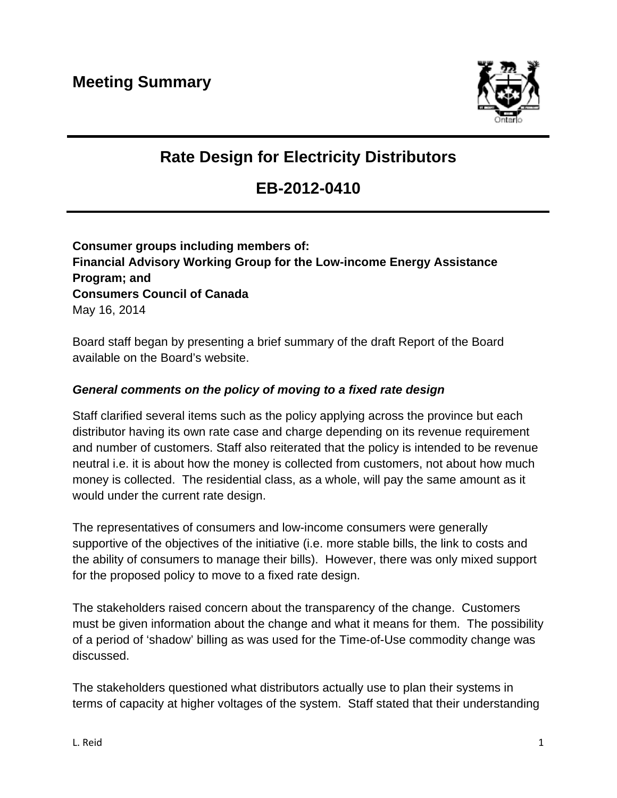

# **Rate Design for Electricity Distributors**

# **EB-2012-0410**

### **Consumer groups including members of: Financial Advisory Working Group for the Low-income Energy Assistance Program; and Consumers Council of Canada**  May 16, 2014

Board staff began by presenting a brief summary of the draft Report of the Board available on the Board's website.

#### *General comments on the policy of moving to a fixed rate design*

Staff clarified several items such as the policy applying across the province but each distributor having its own rate case and charge depending on its revenue requirement and number of customers. Staff also reiterated that the policy is intended to be revenue neutral i.e. it is about how the money is collected from customers, not about how much money is collected. The residential class, as a whole, will pay the same amount as it would under the current rate design.

The representatives of consumers and low-income consumers were generally supportive of the objectives of the initiative (i.e. more stable bills, the link to costs and the ability of consumers to manage their bills). However, there was only mixed support for the proposed policy to move to a fixed rate design.

The stakeholders raised concern about the transparency of the change. Customers must be given information about the change and what it means for them. The possibility of a period of 'shadow' billing as was used for the Time-of-Use commodity change was discussed.

The stakeholders questioned what distributors actually use to plan their systems in terms of capacity at higher voltages of the system. Staff stated that their understanding